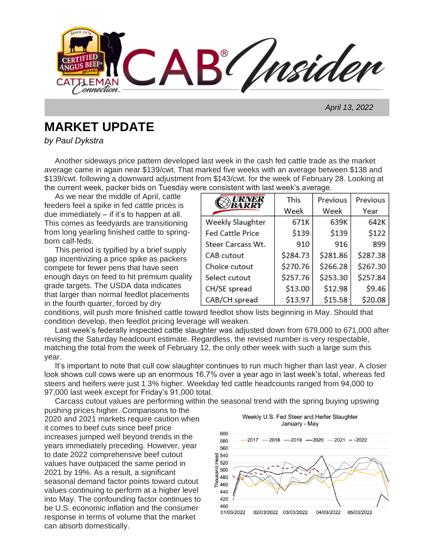**AB** Insider onnection.

 *April 13, 2022*

## **MARKET UPDATE**

*by Paul Dykstra*

Another sideways price pattern developed last week in the cash fed cattle trade as the market average came in again near \$139/cwt. That marked five weeks with an average between \$138 and \$139/cwt. following a downward adjustment from \$143/cwt. for the week of February 28. Looking at the current week, packer bids on Tuesday were consistent with last week's average.

 As we near the middle of April, cattle feeders feel a spike in fed cattle prices is due immediately – if it's to happen at all. This comes as feedyards are transitioning from long yearling finished cattle to springborn calf-feds.

 This period is typified by a brief supply gap incentivizing a price spike as packers compete for fewer pens that have seen enough days on feed to hit premium quality grade targets. The USDA data indicates that larger than normal feedlot placements in the fourth quarter, forced by dry

| <i><b>TRNER</b></i>     | This     | Previous | Previous |
|-------------------------|----------|----------|----------|
| BARRY                   | Week     | Week     | Year     |
| Weekly Slaughter        | 671K     | 639K     | 642K     |
| <b>Fed Cattle Price</b> | \$139    | \$139    | \$122    |
| Steer Carcass Wt.       | 910      | 916      | 899      |
| CAB cutout              | \$284.73 | \$281.86 | \$287.38 |
| Choice cutout           | \$270.76 | \$266.28 | \$267.30 |
| Select cutout           | \$257.76 | \$253.30 | \$257.84 |
| CH/SE spread            | \$13.00  | \$12.98  | \$9.46   |
| CAB/CH spread           | \$13.97  | \$15.58  | \$20.08  |

conditions, will push more finished cattle toward feedlot show lists beginning in May. Should that condition develop, then feedlot pricing leverage will weaken.

 Last week's federally inspected cattle slaughter was adjusted down from 679,000 to 671,000 after revising the Saturday headcount estimate. Regardless, the revised number is very respectable, matching the total from the week of February 12, the only other week with such a large sum this year.

 It's important to note that cull cow slaughter continues to run much higher than last year. A closer look shows cull cows were up an enormous 16.7% over a year ago in last week's total, whereas fed steers and heifers were just 1.3% higher. Weekday fed cattle headcounts ranged from 94,000 to 97,000 last week except for Friday's 91,000 total.

Carcass cutout values are performing within the seasonal trend with the spring buying upswing

pushing prices higher. Comparisons to the 2020 and 2021 markets require caution when it comes to beef cuts since beef price increases jumped well beyond trends in the years immediately preceding. However, year to date 2022 comprehensive beef cutout values have outpaced the same period in 2021 by 19%. As a result, a significant seasonal demand factor points toward cutout values continuing to perform at a higher level into May. The confounding factor continues to be U.S. economic inflation and the consumer response in terms of volume that the market can absorb domestically.

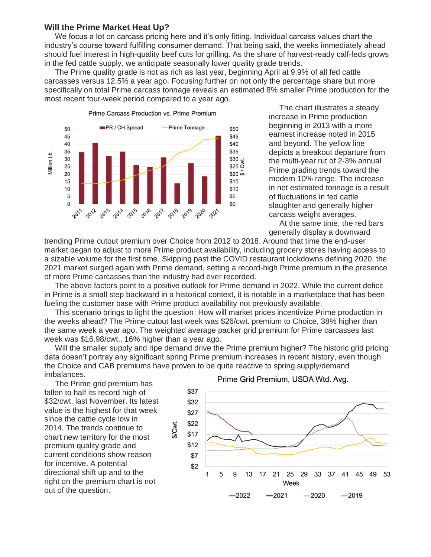## **Will the Prime Market Heat Up?**

We focus a lot on carcass pricing here and it's only fitting. Individual carcass values chart the industry's course toward fulfilling consumer demand. That being said, the weeks immediately ahead should fuel interest in high-quality beef cuts for grilling. As the share of harvest-ready calf-feds grows in the fed cattle supply, we anticipate seasonally lower quality grade trends.

 The Prime quality grade is not as rich as last year, beginning April at 9.9% of all fed cattle carcasses versus 12.5% a year ago. Focusing further on not only the percentage share but more specifically on total Prime carcass tonnage reveals an estimated 8% smaller Prime production for the most recent four-week period compared to a year ago.



 The chart illustrates a steady increase in Prime production beginning in 2013 with a more earnest increase noted in 2015 and beyond. The yellow line depicts a breakout departure from the multi-year rut of 2-3% annual Prime grading trends toward the modern 10% range. The increase in net estimated tonnage is a result of fluctuations in fed cattle slaughter and generally higher carcass weight averages.

 At the same time, the red bars generally display a downward

trending Prime cutout premium over Choice from 2012 to 2018. Around that time the end-user market began to adjust to more Prime product availability, including grocery stores having access to a sizable volume for the first time. Skipping past the COVID restaurant lockdowns defining 2020, the 2021 market surged again with Prime demand, setting a record-high Prime premium in the presence of more Prime carcasses than the industry had ever recorded.

 The above factors point to a positive outlook for Prime demand in 2022. While the current deficit in Prime is a small step backward in a historical context, it is notable in a marketplace that has been fueling the customer base with Prime product availability not previously available.

 This scenario brings to light the question: How will market prices incentivize Prime production in the weeks ahead? The Prime cutout last week was \$26/cwt. premium to Choice, 38% higher than the same week a year ago. The weighted average packer grid premium for Prime carcasses last week was \$16.98/cwt., 16% higher than a year ago.

 Will the smaller supply and ripe demand drive the Prime premium higher? The historic grid pricing data doesn't portray any significant spring Prime premium increases in recent history, even though the Choice and CAB premiums have proven to be quite reactive to spring supply/demand imbalances.

 The Prime grid premium has fallen to half its record high of \$32/cwt. last November. Its latest value is the highest for that week since the cattle cycle low in 2014. The trends continue to chart new territory for the most premium quality grade and current conditions show reason for incentive. A potential directional shift up and to the right on the premium chart is not out of the question.



## Prime Grid Premium, USDA Wtd. Avg.